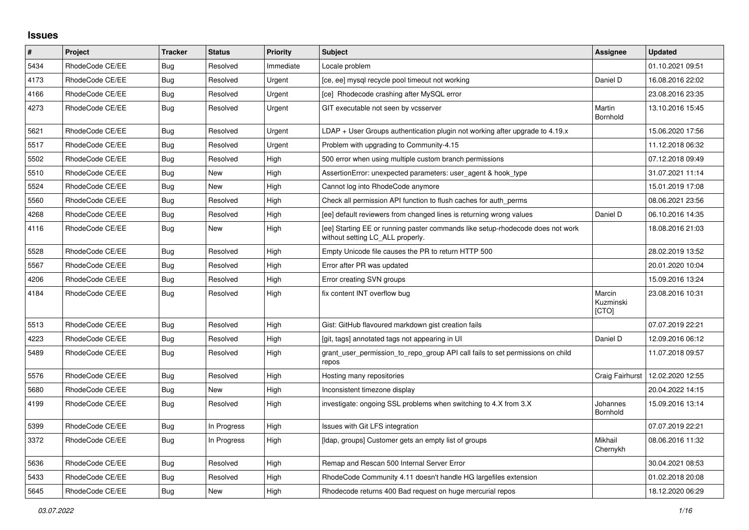## **Issues**

| $\pmb{\#}$ | Project         | <b>Tracker</b> | <b>Status</b> | <b>Priority</b> | <b>Subject</b>                                                                                                     | Assignee                     | <b>Updated</b>   |
|------------|-----------------|----------------|---------------|-----------------|--------------------------------------------------------------------------------------------------------------------|------------------------------|------------------|
| 5434       | RhodeCode CE/EE | Bug            | Resolved      | Immediate       | Locale problem                                                                                                     |                              | 01.10.2021 09:51 |
| 4173       | RhodeCode CE/EE | Bug            | Resolved      | Urgent          | [ce, ee] mysql recycle pool timeout not working                                                                    | Daniel D                     | 16.08.2016 22:02 |
| 4166       | RhodeCode CE/EE | Bug            | Resolved      | Urgent          | [ce] Rhodecode crashing after MySQL error                                                                          |                              | 23.08.2016 23:35 |
| 4273       | RhodeCode CE/EE | Bug            | Resolved      | Urgent          | GIT executable not seen by vcsserver                                                                               | Martin<br>Bornhold           | 13.10.2016 15:45 |
| 5621       | RhodeCode CE/EE | Bug            | Resolved      | Urgent          | $LDAP + User Groups$ authentication plugin not working after upgrade to 4.19. $x$                                  |                              | 15.06.2020 17:56 |
| 5517       | RhodeCode CE/EE | Bug            | Resolved      | Urgent          | Problem with upgrading to Community-4.15                                                                           |                              | 11.12.2018 06:32 |
| 5502       | RhodeCode CE/EE | <b>Bug</b>     | Resolved      | High            | 500 error when using multiple custom branch permissions                                                            |                              | 07.12.2018 09:49 |
| 5510       | RhodeCode CE/EE | Bug            | New           | High            | AssertionError: unexpected parameters: user agent & hook type                                                      |                              | 31.07.2021 11:14 |
| 5524       | RhodeCode CE/EE | Bug            | <b>New</b>    | High            | Cannot log into RhodeCode anymore                                                                                  |                              | 15.01.2019 17:08 |
| 5560       | RhodeCode CE/EE | Bug            | Resolved      | High            | Check all permission API function to flush caches for auth perms                                                   |                              | 08.06.2021 23:56 |
| 4268       | RhodeCode CE/EE | Bug            | Resolved      | High            | [ee] default reviewers from changed lines is returning wrong values                                                | Daniel D                     | 06.10.2016 14:35 |
| 4116       | RhodeCode CE/EE | <b>Bug</b>     | New           | High            | [ee] Starting EE or running paster commands like setup-rhodecode does not work<br>without setting LC_ALL properly. |                              | 18.08.2016 21:03 |
| 5528       | RhodeCode CE/EE | <b>Bug</b>     | Resolved      | High            | Empty Unicode file causes the PR to return HTTP 500                                                                |                              | 28.02.2019 13:52 |
| 5567       | RhodeCode CE/EE | Bug            | Resolved      | High            | Error after PR was updated                                                                                         |                              | 20.01.2020 10:04 |
| 4206       | RhodeCode CE/EE | <b>Bug</b>     | Resolved      | High            | Error creating SVN groups                                                                                          |                              | 15.09.2016 13:24 |
| 4184       | RhodeCode CE/EE | Bug            | Resolved      | High            | fix content INT overflow bug                                                                                       | Marcin<br>Kuzminski<br>[CTO] | 23.08.2016 10:31 |
| 5513       | RhodeCode CE/EE | Bug            | Resolved      | High            | Gist: GitHub flavoured markdown gist creation fails                                                                |                              | 07.07.2019 22:21 |
| 4223       | RhodeCode CE/EE | Bug            | Resolved      | High            | [git, tags] annotated tags not appearing in UI                                                                     | Daniel D                     | 12.09.2016 06:12 |
| 5489       | RhodeCode CE/EE | Bug            | Resolved      | High            | grant_user_permission_to_repo_group API call fails to set permissions on child<br>repos                            |                              | 11.07.2018 09:57 |
| 5576       | RhodeCode CE/EE | Bug            | Resolved      | High            | Hosting many repositories                                                                                          | Craig Fairhurst              | 12.02.2020 12:55 |
| 5680       | RhodeCode CE/EE | Bug            | New           | High            | Inconsistent timezone display                                                                                      |                              | 20.04.2022 14:15 |
| 4199       | RhodeCode CE/EE | Bug            | Resolved      | High            | investigate: ongoing SSL problems when switching to 4.X from 3.X                                                   | Johannes<br>Bornhold         | 15.09.2016 13:14 |
| 5399       | RhodeCode CE/EE | <b>Bug</b>     | In Progress   | High            | Issues with Git LFS integration                                                                                    |                              | 07.07.2019 22:21 |
| 3372       | RhodeCode CE/EE | Bug            | In Progress   | High            | [Idap, groups] Customer gets an empty list of groups                                                               | Mikhail<br>Chernykh          | 08.06.2016 11:32 |
| 5636       | RhodeCode CE/EE | Bug            | Resolved      | High            | Remap and Rescan 500 Internal Server Error                                                                         |                              | 30.04.2021 08:53 |
| 5433       | RhodeCode CE/EE | <b>Bug</b>     | Resolved      | High            | RhodeCode Community 4.11 doesn't handle HG largefiles extension                                                    |                              | 01.02.2018 20:08 |
| 5645       | RhodeCode CE/EE | Bug            | <b>New</b>    | High            | Rhodecode returns 400 Bad request on huge mercurial repos                                                          |                              | 18.12.2020 06:29 |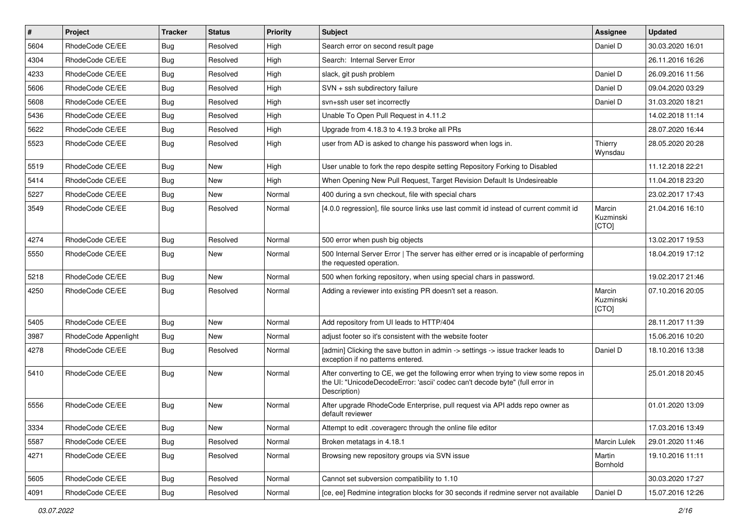| $\vert$ # | Project              | <b>Tracker</b> | <b>Status</b> | <b>Priority</b> | <b>Subject</b>                                                                                                                                                                       | Assignee                     | <b>Updated</b>   |
|-----------|----------------------|----------------|---------------|-----------------|--------------------------------------------------------------------------------------------------------------------------------------------------------------------------------------|------------------------------|------------------|
| 5604      | RhodeCode CE/EE      | <b>Bug</b>     | Resolved      | High            | Search error on second result page                                                                                                                                                   | Daniel D                     | 30.03.2020 16:01 |
| 4304      | RhodeCode CE/EE      | <b>Bug</b>     | Resolved      | High            | Search: Internal Server Error                                                                                                                                                        |                              | 26.11.2016 16:26 |
| 4233      | RhodeCode CE/EE      | Bug            | Resolved      | High            | slack, git push problem                                                                                                                                                              | Daniel D                     | 26.09.2016 11:56 |
| 5606      | RhodeCode CE/EE      | <b>Bug</b>     | Resolved      | High            | SVN + ssh subdirectory failure                                                                                                                                                       | Daniel D                     | 09.04.2020 03:29 |
| 5608      | RhodeCode CE/EE      | <b>Bug</b>     | Resolved      | High            | svn+ssh user set incorrectly                                                                                                                                                         | Daniel D                     | 31.03.2020 18:21 |
| 5436      | RhodeCode CE/EE      | <b>Bug</b>     | Resolved      | High            | Unable To Open Pull Request in 4.11.2                                                                                                                                                |                              | 14.02.2018 11:14 |
| 5622      | RhodeCode CE/EE      | Bug            | Resolved      | High            | Upgrade from 4.18.3 to 4.19.3 broke all PRs                                                                                                                                          |                              | 28.07.2020 16:44 |
| 5523      | RhodeCode CE/EE      | Bug            | Resolved      | High            | user from AD is asked to change his password when logs in.                                                                                                                           | Thierry<br>Wynsdau           | 28.05.2020 20:28 |
| 5519      | RhodeCode CE/EE      | <b>Bug</b>     | <b>New</b>    | High            | User unable to fork the repo despite setting Repository Forking to Disabled                                                                                                          |                              | 11.12.2018 22:21 |
| 5414      | RhodeCode CE/EE      | Bug            | New           | High            | When Opening New Pull Request, Target Revision Default Is Undesireable                                                                                                               |                              | 11.04.2018 23:20 |
| 5227      | RhodeCode CE/EE      | <b>Bug</b>     | New           | Normal          | 400 during a svn checkout, file with special chars                                                                                                                                   |                              | 23.02.2017 17:43 |
| 3549      | RhodeCode CE/EE      | <b>Bug</b>     | Resolved      | Normal          | [4.0.0 regression], file source links use last commit id instead of current commit id                                                                                                | Marcin<br>Kuzminski<br>[CTO] | 21.04.2016 16:10 |
| 4274      | RhodeCode CE/EE      | Bug            | Resolved      | Normal          | 500 error when push big objects                                                                                                                                                      |                              | 13.02.2017 19:53 |
| 5550      | RhodeCode CE/EE      | Bug            | New           | Normal          | 500 Internal Server Error   The server has either erred or is incapable of performing<br>the requested operation.                                                                    |                              | 18.04.2019 17:12 |
| 5218      | RhodeCode CE/EE      | Bug            | <b>New</b>    | Normal          | 500 when forking repository, when using special chars in password.                                                                                                                   |                              | 19.02.2017 21:46 |
| 4250      | RhodeCode CE/EE      | <b>Bug</b>     | Resolved      | Normal          | Adding a reviewer into existing PR doesn't set a reason.                                                                                                                             | Marcin<br>Kuzminski<br>[CTO] | 07.10.2016 20:05 |
| 5405      | RhodeCode CE/EE      | <b>Bug</b>     | New           | Normal          | Add repository from UI leads to HTTP/404                                                                                                                                             |                              | 28.11.2017 11:39 |
| 3987      | RhodeCode Appenlight | <b>Bug</b>     | <b>New</b>    | Normal          | adjust footer so it's consistent with the website footer                                                                                                                             |                              | 15.06.2016 10:20 |
| 4278      | RhodeCode CE/EE      | Bug            | Resolved      | Normal          | [admin] Clicking the save button in admin -> settings -> issue tracker leads to<br>exception if no patterns entered.                                                                 | Daniel D                     | 18.10.2016 13:38 |
| 5410      | RhodeCode CE/EE      | <b>Bug</b>     | New           | Normal          | After converting to CE, we get the following error when trying to view some repos in<br>the UI: "UnicodeDecodeError: 'ascii' codec can't decode byte" (full error in<br>Description) |                              | 25.01.2018 20:45 |
| 5556      | RhodeCode CE/EE      | <b>Bug</b>     | New           | Normal          | After upgrade RhodeCode Enterprise, pull request via API adds repo owner as<br>default reviewer                                                                                      |                              | 01.01.2020 13:09 |
| 3334      | RhodeCode CE/EE      | Bug            | New           | Normal          | Attempt to edit .coveragerc through the online file editor                                                                                                                           |                              | 17.03.2016 13:49 |
| 5587      | RhodeCode CE/EE      | Bug            | Resolved      | Normal          | Broken metatags in 4.18.1                                                                                                                                                            | Marcin Lulek                 | 29.01.2020 11:46 |
| 4271      | RhodeCode CE/EE      | Bug            | Resolved      | Normal          | Browsing new repository groups via SVN issue                                                                                                                                         | Martin<br>Bornhold           | 19.10.2016 11:11 |
| 5605      | RhodeCode CE/EE      | Bug            | Resolved      | Normal          | Cannot set subversion compatibility to 1.10                                                                                                                                          |                              | 30.03.2020 17:27 |
| 4091      | RhodeCode CE/EE      | <b>Bug</b>     | Resolved      | Normal          | [ce, ee] Redmine integration blocks for 30 seconds if redmine server not available                                                                                                   | Daniel D                     | 15.07.2016 12:26 |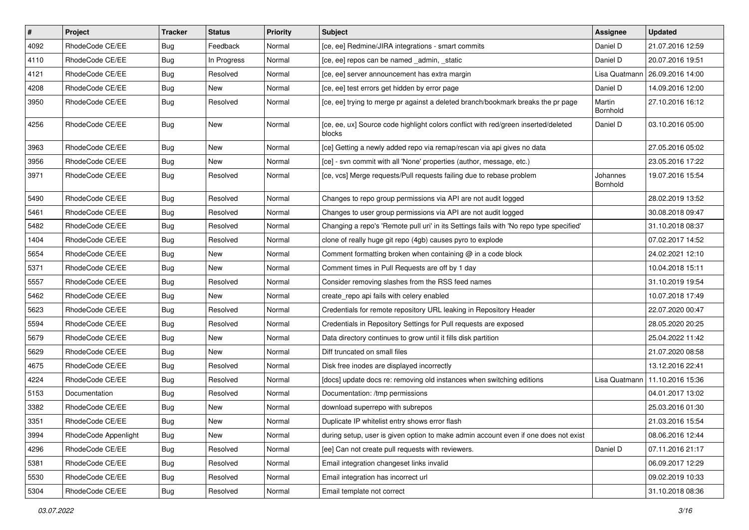| $\vert$ # | Project              | <b>Tracker</b> | <b>Status</b> | <b>Priority</b> | Subject                                                                                      | <b>Assignee</b>      | <b>Updated</b>                   |
|-----------|----------------------|----------------|---------------|-----------------|----------------------------------------------------------------------------------------------|----------------------|----------------------------------|
| 4092      | RhodeCode CE/EE      | Bug            | Feedback      | Normal          | [ce, ee] Redmine/JIRA integrations - smart commits                                           | Daniel D             | 21.07.2016 12:59                 |
| 4110      | RhodeCode CE/EE      | Bug            | In Progress   | Normal          | [ce, ee] repos can be named _admin, _static                                                  | Daniel D             | 20.07.2016 19:51                 |
| 4121      | RhodeCode CE/EE      | Bug            | Resolved      | Normal          | [ce, ee] server announcement has extra margin                                                |                      | Lisa Quatmann   26.09.2016 14:00 |
| 4208      | RhodeCode CE/EE      | Bug            | New           | Normal          | [ce, ee] test errors get hidden by error page                                                | Daniel D             | 14.09.2016 12:00                 |
| 3950      | RhodeCode CE/EE      | Bug            | Resolved      | Normal          | [ce, ee] trying to merge pr against a deleted branch/bookmark breaks the pr page             | Martin<br>Bornhold   | 27.10.2016 16:12                 |
| 4256      | RhodeCode CE/EE      | Bug            | <b>New</b>    | Normal          | [ce, ee, ux] Source code highlight colors conflict with red/green inserted/deleted<br>blocks | Daniel D             | 03.10.2016 05:00                 |
| 3963      | RhodeCode CE/EE      | Bug            | New           | Normal          | [ce] Getting a newly added repo via remap/rescan via api gives no data                       |                      | 27.05.2016 05:02                 |
| 3956      | RhodeCode CE/EE      | Bug            | New           | Normal          | [ce] - svn commit with all 'None' properties (author, message, etc.)                         |                      | 23.05.2016 17:22                 |
| 3971      | RhodeCode CE/EE      | Bug            | Resolved      | Normal          | [ce, vcs] Merge requests/Pull requests failing due to rebase problem                         | Johannes<br>Bornhold | 19.07.2016 15:54                 |
| 5490      | RhodeCode CE/EE      | <b>Bug</b>     | Resolved      | Normal          | Changes to repo group permissions via API are not audit logged                               |                      | 28.02.2019 13:52                 |
| 5461      | RhodeCode CE/EE      | Bug            | Resolved      | Normal          | Changes to user group permissions via API are not audit logged                               |                      | 30.08.2018 09:47                 |
| 5482      | RhodeCode CE/EE      | Bug            | Resolved      | Normal          | Changing a repo's 'Remote pull uri' in its Settings fails with 'No repo type specified'      |                      | 31.10.2018 08:37                 |
| 1404      | RhodeCode CE/EE      | Bug            | Resolved      | Normal          | clone of really huge git repo (4gb) causes pyro to explode                                   |                      | 07.02.2017 14:52                 |
| 5654      | RhodeCode CE/EE      | Bug            | New           | Normal          | Comment formatting broken when containing @ in a code block                                  |                      | 24.02.2021 12:10                 |
| 5371      | RhodeCode CE/EE      | Bug            | <b>New</b>    | Normal          | Comment times in Pull Requests are off by 1 day                                              |                      | 10.04.2018 15:11                 |
| 5557      | RhodeCode CE/EE      | Bug            | Resolved      | Normal          | Consider removing slashes from the RSS feed names                                            |                      | 31.10.2019 19:54                 |
| 5462      | RhodeCode CE/EE      | Bug            | New           | Normal          | create_repo api fails with celery enabled                                                    |                      | 10.07.2018 17:49                 |
| 5623      | RhodeCode CE/EE      | Bug            | Resolved      | Normal          | Credentials for remote repository URL leaking in Repository Header                           |                      | 22.07.2020 00:47                 |
| 5594      | RhodeCode CE/EE      | Bug            | Resolved      | Normal          | Credentials in Repository Settings for Pull requests are exposed                             |                      | 28.05.2020 20:25                 |
| 5679      | RhodeCode CE/EE      | Bug            | New           | Normal          | Data directory continues to grow until it fills disk partition                               |                      | 25.04.2022 11:42                 |
| 5629      | RhodeCode CE/EE      | Bug            | New           | Normal          | Diff truncated on small files                                                                |                      | 21.07.2020 08:58                 |
| 4675      | RhodeCode CE/EE      | Bug            | Resolved      | Normal          | Disk free inodes are displayed incorrectly                                                   |                      | 13.12.2016 22:41                 |
| 4224      | RhodeCode CE/EE      | Bug            | Resolved      | Normal          | [docs] update docs re: removing old instances when switching editions                        | Lisa Quatmann        | 11.10.2016 15:36                 |
| 5153      | Documentation        | Bug            | Resolved      | Normal          | Documentation: /tmp permissions                                                              |                      | 04.01.2017 13:02                 |
| 3382      | RhodeCode CE/EE      | Bug            | <b>New</b>    | Normal          | download superrepo with subrepos                                                             |                      | 25.03.2016 01:30                 |
| 3351      | RhodeCode CE/EE      | Bug            | New           | Normal          | Duplicate IP whitelist entry shows error flash                                               |                      | 21.03.2016 15:54                 |
| 3994      | RhodeCode Appenlight | Bug            | New           | Normal          | during setup, user is given option to make admin account even if one does not exist          |                      | 08.06.2016 12:44                 |
| 4296      | RhodeCode CE/EE      | Bug            | Resolved      | Normal          | [ee] Can not create pull requests with reviewers.                                            | Daniel D             | 07.11.2016 21:17                 |
| 5381      | RhodeCode CE/EE      | Bug            | Resolved      | Normal          | Email integration changeset links invalid                                                    |                      | 06.09.2017 12:29                 |
| 5530      | RhodeCode CE/EE      | Bug            | Resolved      | Normal          | Email integration has incorrect url                                                          |                      | 09.02.2019 10:33                 |
| 5304      | RhodeCode CE/EE      | <b>Bug</b>     | Resolved      | Normal          | Email template not correct                                                                   |                      | 31.10.2018 08:36                 |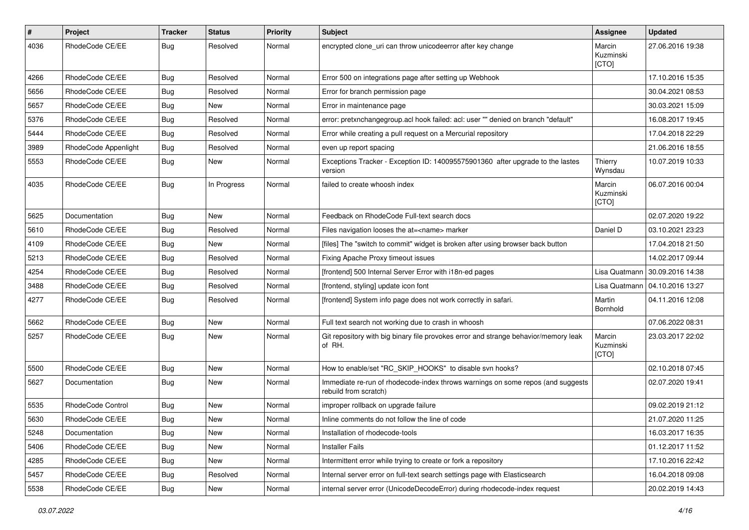| $\pmb{\#}$ | Project              | <b>Tracker</b> | <b>Status</b> | <b>Priority</b> | <b>Subject</b>                                                                                           | Assignee                     | <b>Updated</b>                   |
|------------|----------------------|----------------|---------------|-----------------|----------------------------------------------------------------------------------------------------------|------------------------------|----------------------------------|
| 4036       | RhodeCode CE/EE      | Bug            | Resolved      | Normal          | encrypted clone_uri can throw unicodeerror after key change                                              | Marcin<br>Kuzminski<br>[CTO] | 27.06.2016 19:38                 |
| 4266       | RhodeCode CE/EE      | Bug            | Resolved      | Normal          | Error 500 on integrations page after setting up Webhook                                                  |                              | 17.10.2016 15:35                 |
| 5656       | RhodeCode CE/EE      | Bug            | Resolved      | Normal          | Error for branch permission page                                                                         |                              | 30.04.2021 08:53                 |
| 5657       | RhodeCode CE/EE      | <b>Bug</b>     | New           | Normal          | Error in maintenance page                                                                                |                              | 30.03.2021 15:09                 |
| 5376       | RhodeCode CE/EE      | <b>Bug</b>     | Resolved      | Normal          | error: pretxnchangegroup.acl hook failed: acl: user "" denied on branch "default"                        |                              | 16.08.2017 19:45                 |
| 5444       | RhodeCode CE/EE      | Bug            | Resolved      | Normal          | Error while creating a pull request on a Mercurial repository                                            |                              | 17.04.2018 22:29                 |
| 3989       | RhodeCode Appenlight | Bug            | Resolved      | Normal          | even up report spacing                                                                                   |                              | 21.06.2016 18:55                 |
| 5553       | RhodeCode CE/EE      | <b>Bug</b>     | <b>New</b>    | Normal          | Exceptions Tracker - Exception ID: 140095575901360 after upgrade to the lastes<br>version                | Thierry<br>Wynsdau           | 10.07.2019 10:33                 |
| 4035       | RhodeCode CE/EE      | Bug            | In Progress   | Normal          | failed to create whoosh index                                                                            | Marcin<br>Kuzminski<br>[CTO] | 06.07.2016 00:04                 |
| 5625       | Documentation        | Bug            | <b>New</b>    | Normal          | Feedback on RhodeCode Full-text search docs                                                              |                              | 02.07.2020 19:22                 |
| 5610       | RhodeCode CE/EE      | <b>Bug</b>     | Resolved      | Normal          | Files navigation looses the at= <name> marker</name>                                                     | Daniel D                     | 03.10.2021 23:23                 |
| 4109       | RhodeCode CE/EE      | <b>Bug</b>     | <b>New</b>    | Normal          | [files] The "switch to commit" widget is broken after using browser back button                          |                              | 17.04.2018 21:50                 |
| 5213       | RhodeCode CE/EE      | Bug            | Resolved      | Normal          | Fixing Apache Proxy timeout issues                                                                       |                              | 14.02.2017 09:44                 |
| 4254       | RhodeCode CE/EE      | <b>Bug</b>     | Resolved      | Normal          | [frontend] 500 Internal Server Error with i18n-ed pages                                                  | Lisa Quatmann                | 30.09.2016 14:38                 |
| 3488       | RhodeCode CE/EE      | Bug            | Resolved      | Normal          | [frontend, styling] update icon font                                                                     |                              | Lisa Quatmann   04.10.2016 13:27 |
| 4277       | RhodeCode CE/EE      | Bug            | Resolved      | Normal          | [frontend] System info page does not work correctly in safari.                                           | Martin<br>Bornhold           | 04.11.2016 12:08                 |
| 5662       | RhodeCode CE/EE      | Bug            | <b>New</b>    | Normal          | Full text search not working due to crash in whoosh                                                      |                              | 07.06.2022 08:31                 |
| 5257       | RhodeCode CE/EE      | Bug            | New           | Normal          | Git repository with big binary file provokes error and strange behavior/memory leak<br>of RH.            | Marcin<br>Kuzminski<br>[CTO] | 23.03.2017 22:02                 |
| 5500       | RhodeCode CE/EE      | Bug            | New           | Normal          | How to enable/set "RC SKIP HOOKS" to disable svn hooks?                                                  |                              | 02.10.2018 07:45                 |
| 5627       | Documentation        | Bug            | New           | Normal          | Immediate re-run of rhodecode-index throws warnings on some repos (and suggests<br>rebuild from scratch) |                              | 02.07.2020 19:41                 |
| 5535       | RhodeCode Control    | <b>Bug</b>     | New           | Normal          | improper rollback on upgrade failure                                                                     |                              | 09.02.2019 21:12                 |
| 5630       | RhodeCode CE/EE      | Bug            | New           | Normal          | Inline comments do not follow the line of code                                                           |                              | 21.07.2020 11:25                 |
| 5248       | Documentation        | <b>Bug</b>     | New           | Normal          | Installation of rhodecode-tools                                                                          |                              | 16.03.2017 16:35                 |
| 5406       | RhodeCode CE/EE      | Bug            | New           | Normal          | <b>Installer Fails</b>                                                                                   |                              | 01.12.2017 11:52                 |
| 4285       | RhodeCode CE/EE      | Bug            | New           | Normal          | Intermittent error while trying to create or fork a repository                                           |                              | 17.10.2016 22:42                 |
| 5457       | RhodeCode CE/EE      | Bug            | Resolved      | Normal          | Internal server error on full-text search settings page with Elasticsearch                               |                              | 16.04.2018 09:08                 |
| 5538       | RhodeCode CE/EE      | <b>Bug</b>     | New           | Normal          | internal server error (UnicodeDecodeError) during rhodecode-index request                                |                              | 20.02.2019 14:43                 |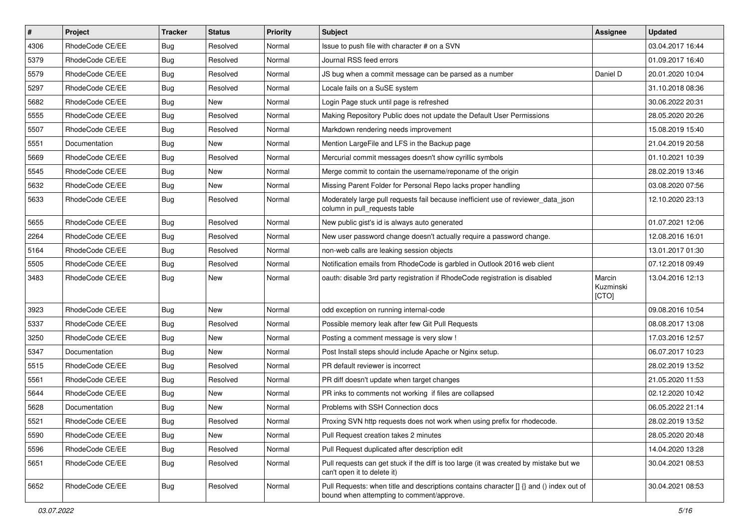| $\vert$ # | Project         | <b>Tracker</b> | <b>Status</b> | <b>Priority</b> | <b>Subject</b>                                                                                                                       | <b>Assignee</b>              | <b>Updated</b>   |
|-----------|-----------------|----------------|---------------|-----------------|--------------------------------------------------------------------------------------------------------------------------------------|------------------------------|------------------|
| 4306      | RhodeCode CE/EE | Bug            | Resolved      | Normal          | Issue to push file with character # on a SVN                                                                                         |                              | 03.04.2017 16:44 |
| 5379      | RhodeCode CE/EE | Bug            | Resolved      | Normal          | Journal RSS feed errors                                                                                                              |                              | 01.09.2017 16:40 |
| 5579      | RhodeCode CE/EE | Bug            | Resolved      | Normal          | JS bug when a commit message can be parsed as a number                                                                               | Daniel D                     | 20.01.2020 10:04 |
| 5297      | RhodeCode CE/EE | <b>Bug</b>     | Resolved      | Normal          | Locale fails on a SuSE system                                                                                                        |                              | 31.10.2018 08:36 |
| 5682      | RhodeCode CE/EE | Bug            | <b>New</b>    | Normal          | Login Page stuck until page is refreshed                                                                                             |                              | 30.06.2022 20:31 |
| 5555      | RhodeCode CE/EE | Bug            | Resolved      | Normal          | Making Repository Public does not update the Default User Permissions                                                                |                              | 28.05.2020 20:26 |
| 5507      | RhodeCode CE/EE | Bug            | Resolved      | Normal          | Markdown rendering needs improvement                                                                                                 |                              | 15.08.2019 15:40 |
| 5551      | Documentation   | Bug            | <b>New</b>    | Normal          | Mention LargeFile and LFS in the Backup page                                                                                         |                              | 21.04.2019 20:58 |
| 5669      | RhodeCode CE/EE | <b>Bug</b>     | Resolved      | Normal          | Mercurial commit messages doesn't show cyrillic symbols                                                                              |                              | 01.10.2021 10:39 |
| 5545      | RhodeCode CE/EE | Bug            | <b>New</b>    | Normal          | Merge commit to contain the username/reponame of the origin                                                                          |                              | 28.02.2019 13:46 |
| 5632      | RhodeCode CE/EE | Bug            | New           | Normal          | Missing Parent Folder for Personal Repo lacks proper handling                                                                        |                              | 03.08.2020 07:56 |
| 5633      | RhodeCode CE/EE | Bug            | Resolved      | Normal          | Moderately large pull requests fail because inefficient use of reviewer_data_json<br>column in pull_requests table                   |                              | 12.10.2020 23:13 |
| 5655      | RhodeCode CE/EE | Bug            | Resolved      | Normal          | New public gist's id is always auto generated                                                                                        |                              | 01.07.2021 12:06 |
| 2264      | RhodeCode CE/EE | Bug            | Resolved      | Normal          | New user password change doesn't actually require a password change.                                                                 |                              | 12.08.2016 16:01 |
| 5164      | RhodeCode CE/EE | Bug            | Resolved      | Normal          | non-web calls are leaking session objects                                                                                            |                              | 13.01.2017 01:30 |
| 5505      | RhodeCode CE/EE | Bug            | Resolved      | Normal          | Notification emails from RhodeCode is garbled in Outlook 2016 web client                                                             |                              | 07.12.2018 09:49 |
| 3483      | RhodeCode CE/EE | Bug            | New           | Normal          | oauth: disable 3rd party registration if RhodeCode registration is disabled                                                          | Marcin<br>Kuzminski<br>[CTO] | 13.04.2016 12:13 |
| 3923      | RhodeCode CE/EE | Bug            | New           | Normal          | odd exception on running internal-code                                                                                               |                              | 09.08.2016 10:54 |
| 5337      | RhodeCode CE/EE | Bug            | Resolved      | Normal          | Possible memory leak after few Git Pull Requests                                                                                     |                              | 08.08.2017 13:08 |
| 3250      | RhodeCode CE/EE | Bug            | <b>New</b>    | Normal          | Posting a comment message is very slow !                                                                                             |                              | 17.03.2016 12:57 |
| 5347      | Documentation   | Bug            | <b>New</b>    | Normal          | Post Install steps should include Apache or Nginx setup.                                                                             |                              | 06.07.2017 10:23 |
| 5515      | RhodeCode CE/EE | <b>Bug</b>     | Resolved      | Normal          | PR default reviewer is incorrect                                                                                                     |                              | 28.02.2019 13:52 |
| 5561      | RhodeCode CE/EE | Bug            | Resolved      | Normal          | PR diff doesn't update when target changes                                                                                           |                              | 21.05.2020 11:53 |
| 5644      | RhodeCode CE/EE | Bug            | New           | Normal          | PR inks to comments not working if files are collapsed                                                                               |                              | 02.12.2020 10:42 |
| 5628      | Documentation   | Bug            | New           | Normal          | Problems with SSH Connection docs                                                                                                    |                              | 06.05.2022 21:14 |
| 5521      | RhodeCode CE/EE | <b>Bug</b>     | Resolved      | Normal          | Proxing SVN http requests does not work when using prefix for rhodecode.                                                             |                              | 28.02.2019 13:52 |
| 5590      | RhodeCode CE/EE | <b>Bug</b>     | New           | Normal          | Pull Request creation takes 2 minutes                                                                                                |                              | 28.05.2020 20:48 |
| 5596      | RhodeCode CE/EE | <b>Bug</b>     | Resolved      | Normal          | Pull Request duplicated after description edit                                                                                       |                              | 14.04.2020 13:28 |
| 5651      | RhodeCode CE/EE | <b>Bug</b>     | Resolved      | Normal          | Pull requests can get stuck if the diff is too large (it was created by mistake but we<br>can't open it to delete it)                |                              | 30.04.2021 08:53 |
| 5652      | RhodeCode CE/EE | <b>Bug</b>     | Resolved      | Normal          | Pull Requests: when title and descriptions contains character [] {} and () index out of<br>bound when attempting to comment/approve. |                              | 30.04.2021 08:53 |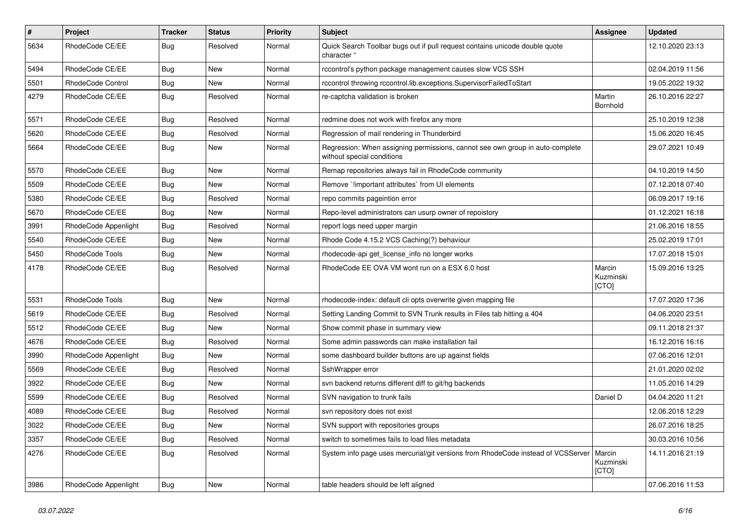| $\pmb{\#}$ | <b>Project</b>       | <b>Tracker</b> | <b>Status</b> | <b>Priority</b> | <b>Subject</b>                                                                                              | Assignee                     | <b>Updated</b>   |
|------------|----------------------|----------------|---------------|-----------------|-------------------------------------------------------------------------------------------------------------|------------------------------|------------------|
| 5634       | RhodeCode CE/EE      | Bug            | Resolved      | Normal          | Quick Search Toolbar bugs out if pull request contains unicode double quote<br>character "                  |                              | 12.10.2020 23:13 |
| 5494       | RhodeCode CE/EE      | Bug            | New           | Normal          | rccontrol's python package management causes slow VCS SSH                                                   |                              | 02.04.2019 11:56 |
| 5501       | RhodeCode Control    | <b>Bug</b>     | New           | Normal          | rccontrol throwing rccontrol.lib.exceptions.SupervisorFailedToStart                                         |                              | 19.05.2022 19:32 |
| 4279       | RhodeCode CE/EE      | Bug            | Resolved      | Normal          | re-captcha validation is broken                                                                             | Martin<br>Bornhold           | 26.10.2016 22:27 |
| 5571       | RhodeCode CE/EE      | <b>Bug</b>     | Resolved      | Normal          | redmine does not work with firefox any more                                                                 |                              | 25.10.2019 12:38 |
| 5620       | RhodeCode CE/EE      | Bug            | Resolved      | Normal          | Regression of mail rendering in Thunderbird                                                                 |                              | 15.06.2020 16:45 |
| 5664       | RhodeCode CE/EE      | Bug            | New           | Normal          | Regression: When assigning permissions, cannot see own group in auto-complete<br>without special conditions |                              | 29.07.2021 10:49 |
| 5570       | RhodeCode CE/EE      | <b>Bug</b>     | New           | Normal          | Remap repositories always fail in RhodeCode community                                                       |                              | 04.10.2019 14:50 |
| 5509       | RhodeCode CE/EE      | Bug            | New           | Normal          | Remove `!important attributes` from UI elements                                                             |                              | 07.12.2018 07:40 |
| 5380       | RhodeCode CE/EE      | Bug            | Resolved      | Normal          | repo commits pageintion error                                                                               |                              | 06.09.2017 19:16 |
| 5670       | RhodeCode CE/EE      | Bug            | New           | Normal          | Repo-level administrators can usurp owner of repoistory                                                     |                              | 01.12.2021 16:18 |
| 3991       | RhodeCode Appenlight | Bug            | Resolved      | Normal          | report logs need upper margin                                                                               |                              | 21.06.2016 18:55 |
| 5540       | RhodeCode CE/EE      | Bug            | New           | Normal          | Rhode Code 4.15.2 VCS Caching(?) behaviour                                                                  |                              | 25.02.2019 17:01 |
| 5450       | RhodeCode Tools      | Bug            | New           | Normal          | rhodecode-api get license info no longer works                                                              |                              | 17.07.2018 15:01 |
| 4178       | RhodeCode CE/EE      | Bug            | Resolved      | Normal          | RhodeCode EE OVA VM wont run on a ESX 6.0 host                                                              | Marcin<br>Kuzminski<br>[CTO] | 15.09.2016 13:25 |
| 5531       | RhodeCode Tools      | Bug            | New           | Normal          | rhodecode-index: default cli opts overwrite given mapping file                                              |                              | 17.07.2020 17:36 |
| 5619       | RhodeCode CE/EE      | <b>Bug</b>     | Resolved      | Normal          | Setting Landing Commit to SVN Trunk results in Files tab hitting a 404                                      |                              | 04.06.2020 23:51 |
| 5512       | RhodeCode CE/EE      | Bug            | <b>New</b>    | Normal          | Show commit phase in summary view                                                                           |                              | 09.11.2018 21:37 |
| 4676       | RhodeCode CE/EE      | Bug            | Resolved      | Normal          | Some admin passwords can make installation fail                                                             |                              | 16.12.2016 16:16 |
| 3990       | RhodeCode Appenlight | Bug            | New           | Normal          | some dashboard builder buttons are up against fields                                                        |                              | 07.06.2016 12:01 |
| 5569       | RhodeCode CE/EE      | Bug            | Resolved      | Normal          | SshWrapper error                                                                                            |                              | 21.01.2020 02:02 |
| 3922       | RhodeCode CE/EE      | Bug            | New           | Normal          | svn backend returns different diff to git/hg backends                                                       |                              | 11.05.2016 14:29 |
| 5599       | RhodeCode CE/EE      | <b>Bug</b>     | Resolved      | Normal          | SVN navigation to trunk fails                                                                               | Daniel D                     | 04.04.2020 11:21 |
| 4089       | RhodeCode CE/EE      | <b>Bug</b>     | Resolved      | Normal          | svn repository does not exist                                                                               |                              | 12.06.2018 12:29 |
| 3022       | RhodeCode CE/EE      | <b>Bug</b>     | New           | Normal          | SVN support with repositories groups                                                                        |                              | 26.07.2016 18:25 |
| 3357       | RhodeCode CE/EE      | <b>Bug</b>     | Resolved      | Normal          | switch to sometimes fails to load files metadata                                                            |                              | 30.03.2016 10:56 |
| 4276       | RhodeCode CE/EE      | Bug            | Resolved      | Normal          | System info page uses mercurial/git versions from RhodeCode instead of VCSServer   Marcin                   | Kuzminski<br>[CTO]           | 14.11.2016 21:19 |
| 3986       | RhodeCode Appenlight | <b>Bug</b>     | New           | Normal          | table headers should be left aligned                                                                        |                              | 07.06.2016 11:53 |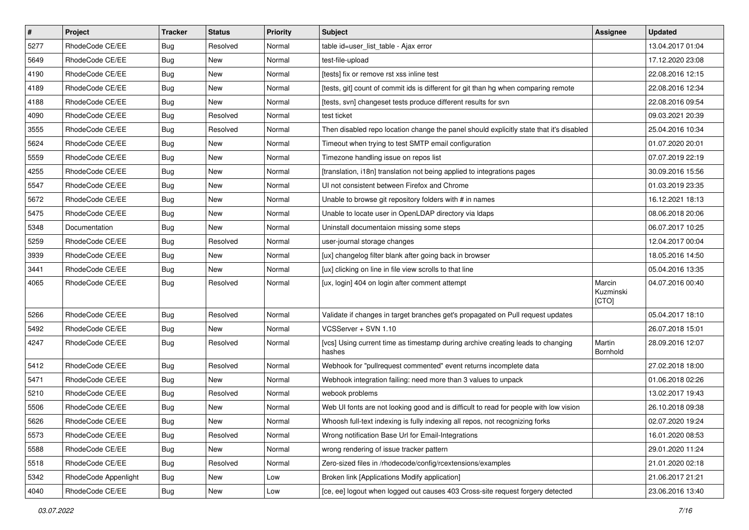| $\vert$ # | Project              | <b>Tracker</b> | <b>Status</b> | <b>Priority</b> | Subject                                                                                   | <b>Assignee</b>              | <b>Updated</b>   |
|-----------|----------------------|----------------|---------------|-----------------|-------------------------------------------------------------------------------------------|------------------------------|------------------|
| 5277      | RhodeCode CE/EE      | Bug            | Resolved      | Normal          | table id=user list table - Ajax error                                                     |                              | 13.04.2017 01:04 |
| 5649      | RhodeCode CE/EE      | Bug            | New           | Normal          | test-file-upload                                                                          |                              | 17.12.2020 23:08 |
| 4190      | RhodeCode CE/EE      | Bug            | New           | Normal          | [tests] fix or remove rst xss inline test                                                 |                              | 22.08.2016 12:15 |
| 4189      | RhodeCode CE/EE      | Bug            | New           | Normal          | [tests, git] count of commit ids is different for git than hg when comparing remote       |                              | 22.08.2016 12:34 |
| 4188      | RhodeCode CE/EE      | <b>Bug</b>     | <b>New</b>    | Normal          | [tests, svn] changeset tests produce different results for svn                            |                              | 22.08.2016 09:54 |
| 4090      | RhodeCode CE/EE      | Bug            | Resolved      | Normal          | test ticket                                                                               |                              | 09.03.2021 20:39 |
| 3555      | RhodeCode CE/EE      | Bug            | Resolved      | Normal          | Then disabled repo location change the panel should explicitly state that it's disabled   |                              | 25.04.2016 10:34 |
| 5624      | RhodeCode CE/EE      | Bug            | New           | Normal          | Timeout when trying to test SMTP email configuration                                      |                              | 01.07.2020 20:01 |
| 5559      | RhodeCode CE/EE      | Bug            | New           | Normal          | Timezone handling issue on repos list                                                     |                              | 07.07.2019 22:19 |
| 4255      | RhodeCode CE/EE      | Bug            | New           | Normal          | [translation, i18n] translation not being applied to integrations pages                   |                              | 30.09.2016 15:56 |
| 5547      | RhodeCode CE/EE      | Bug            | New           | Normal          | UI not consistent between Firefox and Chrome                                              |                              | 01.03.2019 23:35 |
| 5672      | RhodeCode CE/EE      | Bug            | New           | Normal          | Unable to browse git repository folders with # in names                                   |                              | 16.12.2021 18:13 |
| 5475      | RhodeCode CE/EE      | Bug            | <b>New</b>    | Normal          | Unable to locate user in OpenLDAP directory via Idaps                                     |                              | 08.06.2018 20:06 |
| 5348      | Documentation        | <b>Bug</b>     | New           | Normal          | Uninstall documentaion missing some steps                                                 |                              | 06.07.2017 10:25 |
| 5259      | RhodeCode CE/EE      | Bug            | Resolved      | Normal          | user-journal storage changes                                                              |                              | 12.04.2017 00:04 |
| 3939      | RhodeCode CE/EE      | Bug            | New           | Normal          | [ux] changelog filter blank after going back in browser                                   |                              | 18.05.2016 14:50 |
| 3441      | RhodeCode CE/EE      | Bug            | New           | Normal          | [ux] clicking on line in file view scrolls to that line                                   |                              | 05.04.2016 13:35 |
| 4065      | RhodeCode CE/EE      | Bug            | Resolved      | Normal          | [ux, login] 404 on login after comment attempt                                            | Marcin<br>Kuzminski<br>[CTO] | 04.07.2016 00:40 |
| 5266      | RhodeCode CE/EE      | Bug            | Resolved      | Normal          | Validate if changes in target branches get's propagated on Pull request updates           |                              | 05.04.2017 18:10 |
| 5492      | RhodeCode CE/EE      | Bug            | New           | Normal          | VCSServer + SVN 1.10                                                                      |                              | 26.07.2018 15:01 |
| 4247      | RhodeCode CE/EE      | Bug            | Resolved      | Normal          | [vcs] Using current time as timestamp during archive creating leads to changing<br>hashes | Martin<br>Bornhold           | 28.09.2016 12:07 |
| 5412      | RhodeCode CE/EE      | Bug            | Resolved      | Normal          | Webhook for "pullrequest commented" event returns incomplete data                         |                              | 27.02.2018 18:00 |
| 5471      | RhodeCode CE/EE      | <b>Bug</b>     | <b>New</b>    | Normal          | Webhook integration failing: need more than 3 values to unpack                            |                              | 01.06.2018 02:26 |
| 5210      | RhodeCode CE/EE      | Bug            | Resolved      | Normal          | webook problems                                                                           |                              | 13.02.2017 19:43 |
| 5506      | RhodeCode CE/EE      | Bug            | New           | Normal          | Web UI fonts are not looking good and is difficult to read for people with low vision     |                              | 26.10.2018 09:38 |
| 5626      | RhodeCode CE/EE      | Bug            | New           | Normal          | Whoosh full-text indexing is fully indexing all repos, not recognizing forks              |                              | 02.07.2020 19:24 |
| 5573      | RhodeCode CE/EE      | Bug            | Resolved      | Normal          | Wrong notification Base Url for Email-Integrations                                        |                              | 16.01.2020 08:53 |
| 5588      | RhodeCode CE/EE      | <b>Bug</b>     | New           | Normal          | wrong rendering of issue tracker pattern                                                  |                              | 29.01.2020 11:24 |
| 5518      | RhodeCode CE/EE      | Bug            | Resolved      | Normal          | Zero-sized files in /rhodecode/config/rcextensions/examples                               |                              | 21.01.2020 02:18 |
| 5342      | RhodeCode Appenlight | Bug            | New           | Low             | Broken link [Applications Modify application]                                             |                              | 21.06.2017 21:21 |
| 4040      | RhodeCode CE/EE      | <b>Bug</b>     | New           | Low             | [ce, ee] logout when logged out causes 403 Cross-site request forgery detected            |                              | 23.06.2016 13:40 |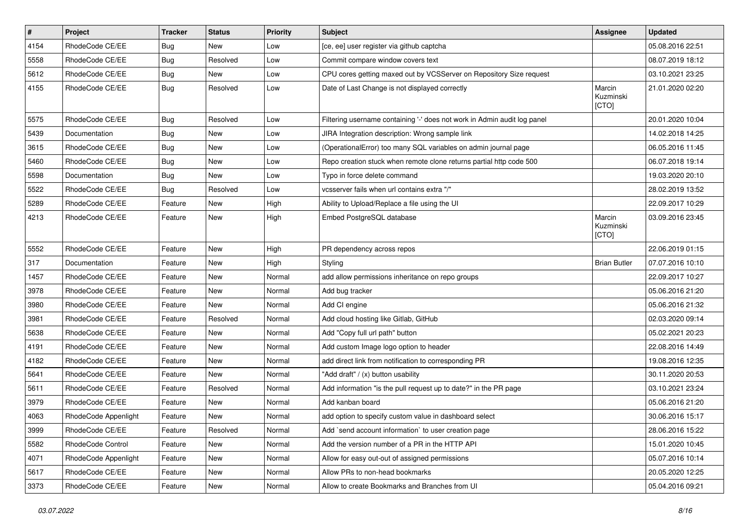| $\vert$ # | Project              | <b>Tracker</b> | <b>Status</b> | <b>Priority</b> | <b>Subject</b>                                                           | <b>Assignee</b>              | <b>Updated</b>   |
|-----------|----------------------|----------------|---------------|-----------------|--------------------------------------------------------------------------|------------------------------|------------------|
| 4154      | RhodeCode CE/EE      | <b>Bug</b>     | New           | Low             | [ce, ee] user register via github captcha                                |                              | 05.08.2016 22:51 |
| 5558      | RhodeCode CE/EE      | Bug            | Resolved      | Low             | Commit compare window covers text                                        |                              | 08.07.2019 18:12 |
| 5612      | RhodeCode CE/EE      | Bug            | New           | Low             | CPU cores getting maxed out by VCSServer on Repository Size request      |                              | 03.10.2021 23:25 |
| 4155      | RhodeCode CE/EE      | Bug            | Resolved      | Low             | Date of Last Change is not displayed correctly                           | Marcin<br>Kuzminski<br>[CTO] | 21.01.2020 02:20 |
| 5575      | RhodeCode CE/EE      | Bug            | Resolved      | Low             | Filtering username containing '-' does not work in Admin audit log panel |                              | 20.01.2020 10:04 |
| 5439      | Documentation        | Bug            | <b>New</b>    | Low             | JIRA Integration description: Wrong sample link                          |                              | 14.02.2018 14:25 |
| 3615      | RhodeCode CE/EE      | <b>Bug</b>     | New           | Low             | (OperationalError) too many SQL variables on admin journal page          |                              | 06.05.2016 11:45 |
| 5460      | RhodeCode CE/EE      | Bug            | <b>New</b>    | Low             | Repo creation stuck when remote clone returns partial http code 500      |                              | 06.07.2018 19:14 |
| 5598      | Documentation        | Bug            | New           | Low             | Typo in force delete command                                             |                              | 19.03.2020 20:10 |
| 5522      | RhodeCode CE/EE      | Bug            | Resolved      | Low             | vcsserver fails when url contains extra "/"                              |                              | 28.02.2019 13:52 |
| 5289      | RhodeCode CE/EE      | Feature        | <b>New</b>    | High            | Ability to Upload/Replace a file using the UI                            |                              | 22.09.2017 10:29 |
| 4213      | RhodeCode CE/EE      | Feature        | New           | High            | Embed PostgreSQL database                                                | Marcin<br>Kuzminski<br>[CTO] | 03.09.2016 23:45 |
| 5552      | RhodeCode CE/EE      | Feature        | <b>New</b>    | High            | PR dependency across repos                                               |                              | 22.06.2019 01:15 |
| 317       | Documentation        | Feature        | <b>New</b>    | High            | Styling                                                                  | <b>Brian Butler</b>          | 07.07.2016 10:10 |
| 1457      | RhodeCode CE/EE      | Feature        | New           | Normal          | add allow permissions inheritance on repo groups                         |                              | 22.09.2017 10:27 |
| 3978      | RhodeCode CE/EE      | Feature        | New           | Normal          | Add bug tracker                                                          |                              | 05.06.2016 21:20 |
| 3980      | RhodeCode CE/EE      | Feature        | <b>New</b>    | Normal          | Add CI engine                                                            |                              | 05.06.2016 21:32 |
| 3981      | RhodeCode CE/EE      | Feature        | Resolved      | Normal          | Add cloud hosting like Gitlab, GitHub                                    |                              | 02.03.2020 09:14 |
| 5638      | RhodeCode CE/EE      | Feature        | <b>New</b>    | Normal          | Add "Copy full url path" button                                          |                              | 05.02.2021 20:23 |
| 4191      | RhodeCode CE/EE      | Feature        | New           | Normal          | Add custom Image logo option to header                                   |                              | 22.08.2016 14:49 |
| 4182      | RhodeCode CE/EE      | Feature        | <b>New</b>    | Normal          | add direct link from notification to corresponding PR                    |                              | 19.08.2016 12:35 |
| 5641      | RhodeCode CE/EE      | Feature        | <b>New</b>    | Normal          | "Add draft" / (x) button usability                                       |                              | 30.11.2020 20:53 |
| 5611      | RhodeCode CE/EE      | Feature        | Resolved      | Normal          | Add information "is the pull request up to date?" in the PR page         |                              | 03.10.2021 23:24 |
| 3979      | RhodeCode CE/EE      | Feature        | New           | Normal          | Add kanban board                                                         |                              | 05.06.2016 21:20 |
| 4063      | RhodeCode Appenlight | Feature        | New           | Normal          | add option to specify custom value in dashboard select                   |                              | 30.06.2016 15:17 |
| 3999      | RhodeCode CE/EE      | Feature        | Resolved      | Normal          | Add `send account information` to user creation page                     |                              | 28.06.2016 15:22 |
| 5582      | RhodeCode Control    | Feature        | <b>New</b>    | Normal          | Add the version number of a PR in the HTTP API                           |                              | 15.01.2020 10:45 |
| 4071      | RhodeCode Appenlight | Feature        | New           | Normal          | Allow for easy out-out of assigned permissions                           |                              | 05.07.2016 10:14 |
| 5617      | RhodeCode CE/EE      | Feature        | New           | Normal          | Allow PRs to non-head bookmarks                                          |                              | 20.05.2020 12:25 |
| 3373      | RhodeCode CE/EE      | Feature        | New           | Normal          | Allow to create Bookmarks and Branches from UI                           |                              | 05.04.2016 09:21 |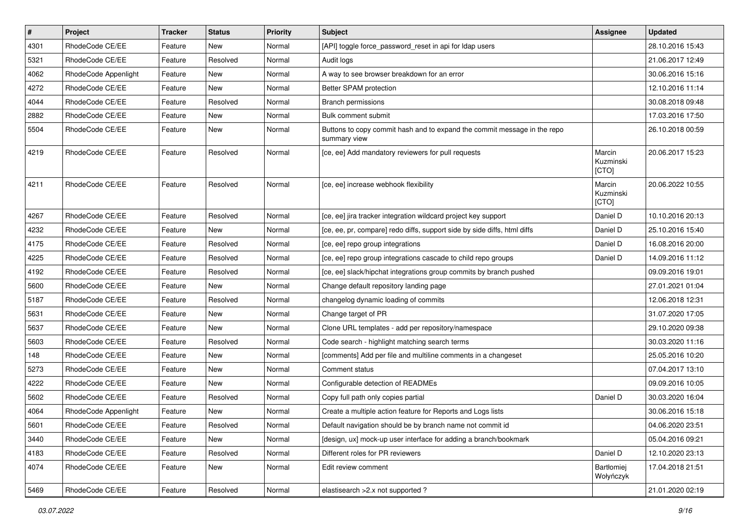| $\pmb{\#}$ | Project              | <b>Tracker</b> | <b>Status</b> | <b>Priority</b> | <b>Subject</b>                                                                           | Assignee                     | <b>Updated</b>   |
|------------|----------------------|----------------|---------------|-----------------|------------------------------------------------------------------------------------------|------------------------------|------------------|
| 4301       | RhodeCode CE/EE      | Feature        | New           | Normal          | [API] toggle force password reset in api for Idap users                                  |                              | 28.10.2016 15:43 |
| 5321       | RhodeCode CE/EE      | Feature        | Resolved      | Normal          | Audit logs                                                                               |                              | 21.06.2017 12:49 |
| 4062       | RhodeCode Appenlight | Feature        | New           | Normal          | A way to see browser breakdown for an error                                              |                              | 30.06.2016 15:16 |
| 4272       | RhodeCode CE/EE      | Feature        | New           | Normal          | Better SPAM protection                                                                   |                              | 12.10.2016 11:14 |
| 4044       | RhodeCode CE/EE      | Feature        | Resolved      | Normal          | Branch permissions                                                                       |                              | 30.08.2018 09:48 |
| 2882       | RhodeCode CE/EE      | Feature        | New           | Normal          | Bulk comment submit                                                                      |                              | 17.03.2016 17:50 |
| 5504       | RhodeCode CE/EE      | Feature        | New           | Normal          | Buttons to copy commit hash and to expand the commit message in the repo<br>summary view |                              | 26.10.2018 00:59 |
| 4219       | RhodeCode CE/EE      | Feature        | Resolved      | Normal          | [ce, ee] Add mandatory reviewers for pull requests                                       | Marcin<br>Kuzminski<br>[CTO] | 20.06.2017 15:23 |
| 4211       | RhodeCode CE/EE      | Feature        | Resolved      | Normal          | [ce, ee] increase webhook flexibility                                                    | Marcin<br>Kuzminski<br>[CTO] | 20.06.2022 10:55 |
| 4267       | RhodeCode CE/EE      | Feature        | Resolved      | Normal          | [ce, ee] jira tracker integration wildcard project key support                           | Daniel D                     | 10.10.2016 20:13 |
| 4232       | RhodeCode CE/EE      | Feature        | <b>New</b>    | Normal          | [ce, ee, pr, compare] redo diffs, support side by side diffs, html diffs                 | Daniel D                     | 25.10.2016 15:40 |
| 4175       | RhodeCode CE/EE      | Feature        | Resolved      | Normal          | [ce, ee] repo group integrations                                                         | Daniel D                     | 16.08.2016 20:00 |
| 4225       | RhodeCode CE/EE      | Feature        | Resolved      | Normal          | [ce, ee] repo group integrations cascade to child repo groups                            | Daniel D                     | 14.09.2016 11:12 |
| 4192       | RhodeCode CE/EE      | Feature        | Resolved      | Normal          | [ce, ee] slack/hipchat integrations group commits by branch pushed                       |                              | 09.09.2016 19:01 |
| 5600       | RhodeCode CE/EE      | Feature        | <b>New</b>    | Normal          | Change default repository landing page                                                   |                              | 27.01.2021 01:04 |
| 5187       | RhodeCode CE/EE      | Feature        | Resolved      | Normal          | changelog dynamic loading of commits                                                     |                              | 12.06.2018 12:31 |
| 5631       | RhodeCode CE/EE      | Feature        | New           | Normal          | Change target of PR                                                                      |                              | 31.07.2020 17:05 |
| 5637       | RhodeCode CE/EE      | Feature        | New           | Normal          | Clone URL templates - add per repository/namespace                                       |                              | 29.10.2020 09:38 |
| 5603       | RhodeCode CE/EE      | Feature        | Resolved      | Normal          | Code search - highlight matching search terms                                            |                              | 30.03.2020 11:16 |
| 148        | RhodeCode CE/EE      | Feature        | New           | Normal          | [comments] Add per file and multiline comments in a changeset                            |                              | 25.05.2016 10:20 |
| 5273       | RhodeCode CE/EE      | Feature        | <b>New</b>    | Normal          | Comment status                                                                           |                              | 07.04.2017 13:10 |
| 4222       | RhodeCode CE/EE      | Feature        | New           | Normal          | Configurable detection of READMEs                                                        |                              | 09.09.2016 10:05 |
| 5602       | RhodeCode CE/EE      | Feature        | Resolved      | Normal          | Copy full path only copies partial                                                       | Daniel D                     | 30.03.2020 16:04 |
| 4064       | RhodeCode Appenlight | Feature        | <b>New</b>    | Normal          | Create a multiple action feature for Reports and Logs lists                              |                              | 30.06.2016 15:18 |
| 5601       | RhodeCode CE/EE      | Feature        | Resolved      | Normal          | Default navigation should be by branch name not commit id                                |                              | 04.06.2020 23:51 |
| 3440       | RhodeCode CE/EE      | Feature        | New           | Normal          | [design, ux] mock-up user interface for adding a branch/bookmark                         |                              | 05.04.2016 09:21 |
| 4183       | RhodeCode CE/EE      | Feature        | Resolved      | Normal          | Different roles for PR reviewers                                                         | Daniel D                     | 12.10.2020 23:13 |
| 4074       | RhodeCode CE/EE      | Feature        | New           | Normal          | Edit review comment                                                                      | Bartłomiej<br>Wołyńczyk      | 17.04.2018 21:51 |
| 5469       | RhodeCode CE/EE      | Feature        | Resolved      | Normal          | elastisearch > 2.x not supported ?                                                       |                              | 21.01.2020 02:19 |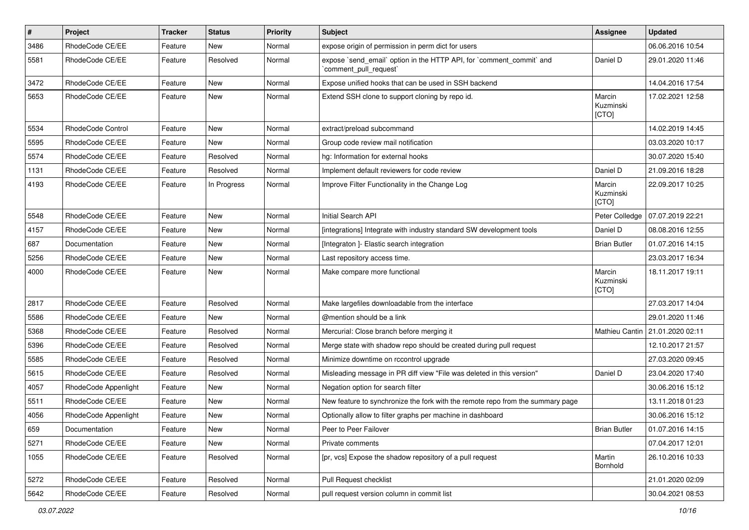| $\sharp$ | Project              | Tracker | <b>Status</b> | <b>Priority</b> | Subject                                                                                        | <b>Assignee</b>              | <b>Updated</b>   |
|----------|----------------------|---------|---------------|-----------------|------------------------------------------------------------------------------------------------|------------------------------|------------------|
| 3486     | RhodeCode CE/EE      | Feature | New           | Normal          | expose origin of permission in perm dict for users                                             |                              | 06.06.2016 10:54 |
| 5581     | RhodeCode CE/EE      | Feature | Resolved      | Normal          | expose `send_email` option in the HTTP API, for `comment_commit` and<br>`comment pull request` | Daniel D                     | 29.01.2020 11:46 |
| 3472     | RhodeCode CE/EE      | Feature | New           | Normal          | Expose unified hooks that can be used in SSH backend                                           |                              | 14.04.2016 17:54 |
| 5653     | RhodeCode CE/EE      | Feature | New           | Normal          | Extend SSH clone to support cloning by repo id.                                                | Marcin<br>Kuzminski<br>[CTO] | 17.02.2021 12:58 |
| 5534     | RhodeCode Control    | Feature | <b>New</b>    | Normal          | extract/preload subcommand                                                                     |                              | 14.02.2019 14:45 |
| 5595     | RhodeCode CE/EE      | Feature | New           | Normal          | Group code review mail notification                                                            |                              | 03.03.2020 10:17 |
| 5574     | RhodeCode CE/EE      | Feature | Resolved      | Normal          | hg: Information for external hooks                                                             |                              | 30.07.2020 15:40 |
| 1131     | RhodeCode CE/EE      | Feature | Resolved      | Normal          | Implement default reviewers for code review                                                    | Daniel D                     | 21.09.2016 18:28 |
| 4193     | RhodeCode CE/EE      | Feature | In Progress   | Normal          | Improve Filter Functionality in the Change Log                                                 | Marcin<br>Kuzminski<br>[CTO] | 22.09.2017 10:25 |
| 5548     | RhodeCode CE/EE      | Feature | New           | Normal          | Initial Search API                                                                             | Peter Colledge               | 07.07.2019 22:21 |
| 4157     | RhodeCode CE/EE      | Feature | New           | Normal          | [integrations] Integrate with industry standard SW development tools                           | Daniel D                     | 08.08.2016 12:55 |
| 687      | Documentation        | Feature | New           | Normal          | [Integraton ]- Elastic search integration                                                      | <b>Brian Butler</b>          | 01.07.2016 14:15 |
| 5256     | RhodeCode CE/EE      | Feature | <b>New</b>    | Normal          | Last repository access time.                                                                   |                              | 23.03.2017 16:34 |
| 4000     | RhodeCode CE/EE      | Feature | New           | Normal          | Make compare more functional                                                                   | Marcin<br>Kuzminski<br>[CTO] | 18.11.2017 19:11 |
| 2817     | RhodeCode CE/EE      | Feature | Resolved      | Normal          | Make largefiles downloadable from the interface                                                |                              | 27.03.2017 14:04 |
| 5586     | RhodeCode CE/EE      | Feature | New           | Normal          | @mention should be a link                                                                      |                              | 29.01.2020 11:46 |
| 5368     | RhodeCode CE/EE      | Feature | Resolved      | Normal          | Mercurial: Close branch before merging it                                                      | Mathieu Cantin               | 21.01.2020 02:11 |
| 5396     | RhodeCode CE/EE      | Feature | Resolved      | Normal          | Merge state with shadow repo should be created during pull request                             |                              | 12.10.2017 21:57 |
| 5585     | RhodeCode CE/EE      | Feature | Resolved      | Normal          | Minimize downtime on rccontrol upgrade                                                         |                              | 27.03.2020 09:45 |
| 5615     | RhodeCode CE/EE      | Feature | Resolved      | Normal          | Misleading message in PR diff view "File was deleted in this version"                          | Daniel D                     | 23.04.2020 17:40 |
| 4057     | RhodeCode Appenlight | Feature | New           | Normal          | Negation option for search filter                                                              |                              | 30.06.2016 15:12 |
| 5511     | RhodeCode CE/EE      | Feature | New           | Normal          | New feature to synchronize the fork with the remote repo from the summary page                 |                              | 13.11.2018 01:23 |
| 4056     | RhodeCode Appenlight | Feature | New           | Normal          | Optionally allow to filter graphs per machine in dashboard                                     |                              | 30.06.2016 15:12 |
| 659      | Documentation        | Feature | New           | Normal          | Peer to Peer Failover                                                                          | <b>Brian Butler</b>          | 01.07.2016 14:15 |
| 5271     | RhodeCode CE/EE      | Feature | New           | Normal          | Private comments                                                                               |                              | 07.04.2017 12:01 |
| 1055     | RhodeCode CE/EE      | Feature | Resolved      | Normal          | [pr, vcs] Expose the shadow repository of a pull request                                       | Martin<br>Bornhold           | 26.10.2016 10:33 |
| 5272     | RhodeCode CE/EE      | Feature | Resolved      | Normal          | Pull Request checklist                                                                         |                              | 21.01.2020 02:09 |
| 5642     | RhodeCode CE/EE      | Feature | Resolved      | Normal          | pull request version column in commit list                                                     |                              | 30.04.2021 08:53 |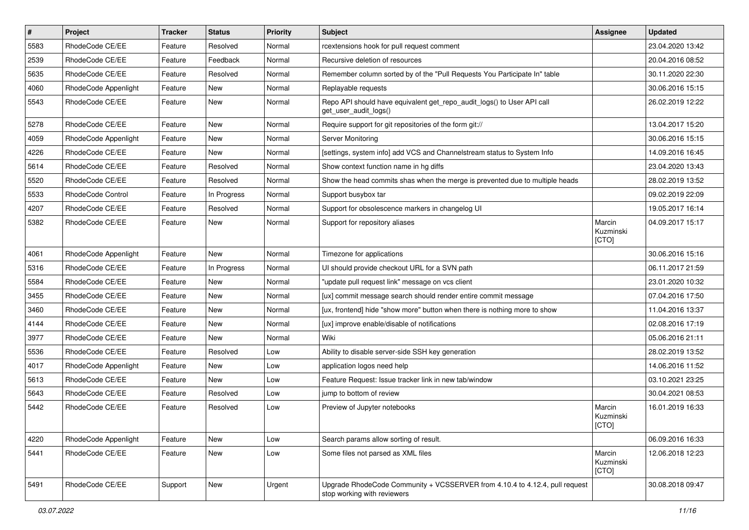| $\pmb{\#}$ | Project              | <b>Tracker</b> | <b>Status</b> | <b>Priority</b> | Subject                                                                                                    | Assignee                      | <b>Updated</b>   |
|------------|----------------------|----------------|---------------|-----------------|------------------------------------------------------------------------------------------------------------|-------------------------------|------------------|
| 5583       | RhodeCode CE/EE      | Feature        | Resolved      | Normal          | rcextensions hook for pull request comment                                                                 |                               | 23.04.2020 13:42 |
| 2539       | RhodeCode CE/EE      | Feature        | Feedback      | Normal          | Recursive deletion of resources                                                                            |                               | 20.04.2016 08:52 |
| 5635       | RhodeCode CE/EE      | Feature        | Resolved      | Normal          | Remember column sorted by of the "Pull Requests You Participate In" table                                  |                               | 30.11.2020 22:30 |
| 4060       | RhodeCode Appenlight | Feature        | New           | Normal          | Replayable requests                                                                                        |                               | 30.06.2016 15:15 |
| 5543       | RhodeCode CE/EE      | Feature        | <b>New</b>    | Normal          | Repo API should have equivalent get_repo_audit_logs() to User API call<br>get_user_audit_logs()            |                               | 26.02.2019 12:22 |
| 5278       | RhodeCode CE/EE      | Feature        | <b>New</b>    | Normal          | Require support for git repositories of the form git://                                                    |                               | 13.04.2017 15:20 |
| 4059       | RhodeCode Appenlight | Feature        | <b>New</b>    | Normal          | Server Monitoring                                                                                          |                               | 30.06.2016 15:15 |
| 4226       | RhodeCode CE/EE      | Feature        | <b>New</b>    | Normal          | [settings, system info] add VCS and Channelstream status to System Info                                    |                               | 14.09.2016 16:45 |
| 5614       | RhodeCode CE/EE      | Feature        | Resolved      | Normal          | Show context function name in hg diffs                                                                     |                               | 23.04.2020 13:43 |
| 5520       | RhodeCode CE/EE      | Feature        | Resolved      | Normal          | Show the head commits shas when the merge is prevented due to multiple heads                               |                               | 28.02.2019 13:52 |
| 5533       | RhodeCode Control    | Feature        | In Progress   | Normal          | Support busybox tar                                                                                        |                               | 09.02.2019 22:09 |
| 4207       | RhodeCode CE/EE      | Feature        | Resolved      | Normal          | Support for obsolescence markers in changelog UI                                                           |                               | 19.05.2017 16:14 |
| 5382       | RhodeCode CE/EE      | Feature        | <b>New</b>    | Normal          | Support for repository aliases                                                                             | Marcin<br>Kuzminski<br>[CTO]  | 04.09.2017 15:17 |
| 4061       | RhodeCode Appenlight | Feature        | <b>New</b>    | Normal          | Timezone for applications                                                                                  |                               | 30.06.2016 15:16 |
| 5316       | RhodeCode CE/EE      | Feature        | In Progress   | Normal          | UI should provide checkout URL for a SVN path                                                              |                               | 06.11.2017 21:59 |
| 5584       | RhodeCode CE/EE      | Feature        | New           | Normal          | "update pull request link" message on vcs client                                                           |                               | 23.01.2020 10:32 |
| 3455       | RhodeCode CE/EE      | Feature        | New           | Normal          | [ux] commit message search should render entire commit message                                             |                               | 07.04.2016 17:50 |
| 3460       | RhodeCode CE/EE      | Feature        | <b>New</b>    | Normal          | [ux, frontend] hide "show more" button when there is nothing more to show                                  |                               | 11.04.2016 13:37 |
| 4144       | RhodeCode CE/EE      | Feature        | New           | Normal          | [ux] improve enable/disable of notifications                                                               |                               | 02.08.2016 17:19 |
| 3977       | RhodeCode CE/EE      | Feature        | <b>New</b>    | Normal          | Wiki                                                                                                       |                               | 05.06.2016 21:11 |
| 5536       | RhodeCode CE/EE      | Feature        | Resolved      | Low             | Ability to disable server-side SSH key generation                                                          |                               | 28.02.2019 13:52 |
| 4017       | RhodeCode Appenlight | Feature        | New           | Low             | application logos need help                                                                                |                               | 14.06.2016 11:52 |
| 5613       | RhodeCode CE/EE      | Feature        | New           | Low             | Feature Request: Issue tracker link in new tab/window                                                      |                               | 03.10.2021 23:25 |
| 5643       | RhodeCode CE/EE      | Feature        | Resolved      | Low             | jump to bottom of review                                                                                   |                               | 30.04.2021 08:53 |
| 5442       | RhodeCode CE/EE      | Feature        | Resolved      | Low             | Preview of Jupyter notebooks                                                                               | Marcin<br>Kuzminski<br> [CTO] | 16.01.2019 16:33 |
| 4220       | RhodeCode Appenlight | Feature        | New           | Low             | Search params allow sorting of result.                                                                     |                               | 06.09.2016 16:33 |
| 5441       | RhodeCode CE/EE      | Feature        | New           | Low             | Some files not parsed as XML files                                                                         | Marcin<br>Kuzminski<br>[CTO]  | 12.06.2018 12:23 |
| 5491       | RhodeCode CE/EE      | Support        | New           | Urgent          | Upgrade RhodeCode Community + VCSSERVER from 4.10.4 to 4.12.4, pull request<br>stop working with reviewers |                               | 30.08.2018 09:47 |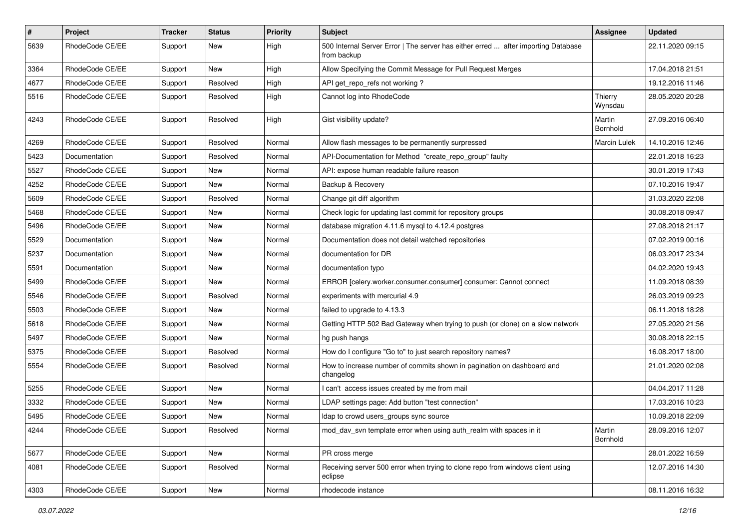| $\#$ | Project         | Tracker | <b>Status</b> | <b>Priority</b> | <b>Subject</b>                                                                                   | Assignee           | <b>Updated</b>   |
|------|-----------------|---------|---------------|-----------------|--------------------------------------------------------------------------------------------------|--------------------|------------------|
| 5639 | RhodeCode CE/EE | Support | New           | High            | 500 Internal Server Error   The server has either erred  after importing Database<br>from backup |                    | 22.11.2020 09:15 |
| 3364 | RhodeCode CE/EE | Support | New           | High            | Allow Specifying the Commit Message for Pull Request Merges                                      |                    | 17.04.2018 21:51 |
| 4677 | RhodeCode CE/EE | Support | Resolved      | High            | API get_repo_refs not working?                                                                   |                    | 19.12.2016 11:46 |
| 5516 | RhodeCode CE/EE | Support | Resolved      | High            | Cannot log into RhodeCode                                                                        | Thierry<br>Wynsdau | 28.05.2020 20:28 |
| 4243 | RhodeCode CE/EE | Support | Resolved      | High            | Gist visibility update?                                                                          | Martin<br>Bornhold | 27.09.2016 06:40 |
| 4269 | RhodeCode CE/EE | Support | Resolved      | Normal          | Allow flash messages to be permanently surpressed                                                | Marcin Lulek       | 14.10.2016 12:46 |
| 5423 | Documentation   | Support | Resolved      | Normal          | API-Documentation for Method "create_repo_group" faulty                                          |                    | 22.01.2018 16:23 |
| 5527 | RhodeCode CE/EE | Support | New           | Normal          | API: expose human readable failure reason                                                        |                    | 30.01.2019 17:43 |
| 4252 | RhodeCode CE/EE | Support | New           | Normal          | Backup & Recovery                                                                                |                    | 07.10.2016 19:47 |
| 5609 | RhodeCode CE/EE | Support | Resolved      | Normal          | Change git diff algorithm                                                                        |                    | 31.03.2020 22:08 |
| 5468 | RhodeCode CE/EE | Support | New           | Normal          | Check logic for updating last commit for repository groups                                       |                    | 30.08.2018 09:47 |
| 5496 | RhodeCode CE/EE | Support | New           | Normal          | database migration 4.11.6 mysql to 4.12.4 postgres                                               |                    | 27.08.2018 21:17 |
| 5529 | Documentation   | Support | New           | Normal          | Documentation does not detail watched repositories                                               |                    | 07.02.2019 00:16 |
| 5237 | Documentation   | Support | New           | Normal          | documentation for DR                                                                             |                    | 06.03.2017 23:34 |
| 5591 | Documentation   | Support | New           | Normal          | documentation typo                                                                               |                    | 04.02.2020 19:43 |
| 5499 | RhodeCode CE/EE | Support | New           | Normal          | ERROR [celery.worker.consumer.consumer] consumer: Cannot connect                                 |                    | 11.09.2018 08:39 |
| 5546 | RhodeCode CE/EE | Support | Resolved      | Normal          | experiments with mercurial 4.9                                                                   |                    | 26.03.2019 09:23 |
| 5503 | RhodeCode CE/EE | Support | New           | Normal          | failed to upgrade to 4.13.3                                                                      |                    | 06.11.2018 18:28 |
| 5618 | RhodeCode CE/EE | Support | New           | Normal          | Getting HTTP 502 Bad Gateway when trying to push (or clone) on a slow network                    |                    | 27.05.2020 21:56 |
| 5497 | RhodeCode CE/EE | Support | New           | Normal          | hg push hangs                                                                                    |                    | 30.08.2018 22:15 |
| 5375 | RhodeCode CE/EE | Support | Resolved      | Normal          | How do I configure "Go to" to just search repository names?                                      |                    | 16.08.2017 18:00 |
| 5554 | RhodeCode CE/EE | Support | Resolved      | Normal          | How to increase number of commits shown in pagination on dashboard and<br>changelog              |                    | 21.01.2020 02:08 |
| 5255 | RhodeCode CE/EE | Support | New           | Normal          | I can't access issues created by me from mail                                                    |                    | 04.04.2017 11:28 |
| 3332 | RhodeCode CE/EE | Support | New           | Normal          | LDAP settings page: Add button "test connection"                                                 |                    | 17.03.2016 10:23 |
| 5495 | RhodeCode CE/EE | Support | New           | Normal          | Idap to crowd users_groups sync source                                                           |                    | 10.09.2018 22:09 |
| 4244 | RhodeCode CE/EE | Support | Resolved      | Normal          | mod_dav_svn template error when using auth_realm with spaces in it                               | Martin<br>Bornhold | 28.09.2016 12:07 |
| 5677 | RhodeCode CE/EE | Support | New           | Normal          | PR cross merge                                                                                   |                    | 28.01.2022 16:59 |
| 4081 | RhodeCode CE/EE | Support | Resolved      | Normal          | Receiving server 500 error when trying to clone repo from windows client using<br>eclipse        |                    | 12.07.2016 14:30 |
| 4303 | RhodeCode CE/EE | Support | New           | Normal          | rhodecode instance                                                                               |                    | 08.11.2016 16:32 |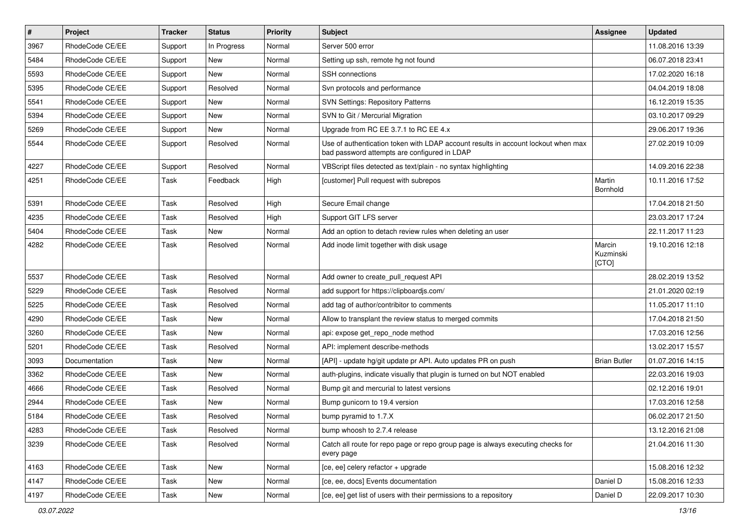| $\pmb{\#}$ | Project         | <b>Tracker</b> | <b>Status</b> | <b>Priority</b> | Subject                                                                                                                           | Assignee                     | <b>Updated</b>   |
|------------|-----------------|----------------|---------------|-----------------|-----------------------------------------------------------------------------------------------------------------------------------|------------------------------|------------------|
| 3967       | RhodeCode CE/EE | Support        | In Progress   | Normal          | Server 500 error                                                                                                                  |                              | 11.08.2016 13:39 |
| 5484       | RhodeCode CE/EE | Support        | <b>New</b>    | Normal          | Setting up ssh, remote hg not found                                                                                               |                              | 06.07.2018 23:41 |
| 5593       | RhodeCode CE/EE | Support        | New           | Normal          | SSH connections                                                                                                                   |                              | 17.02.2020 16:18 |
| 5395       | RhodeCode CE/EE | Support        | Resolved      | Normal          | Svn protocols and performance                                                                                                     |                              | 04.04.2019 18:08 |
| 5541       | RhodeCode CE/EE | Support        | New           | Normal          | <b>SVN Settings: Repository Patterns</b>                                                                                          |                              | 16.12.2019 15:35 |
| 5394       | RhodeCode CE/EE | Support        | <b>New</b>    | Normal          | SVN to Git / Mercurial Migration                                                                                                  |                              | 03.10.2017 09:29 |
| 5269       | RhodeCode CE/EE | Support        | <b>New</b>    | Normal          | Upgrade from RC EE 3.7.1 to RC EE 4.x                                                                                             |                              | 29.06.2017 19:36 |
| 5544       | RhodeCode CE/EE | Support        | Resolved      | Normal          | Use of authentication token with LDAP account results in account lockout when max<br>bad password attempts are configured in LDAP |                              | 27.02.2019 10:09 |
| 4227       | RhodeCode CE/EE | Support        | Resolved      | Normal          | VBScript files detected as text/plain - no syntax highlighting                                                                    |                              | 14.09.2016 22:38 |
| 4251       | RhodeCode CE/EE | Task           | Feedback      | High            | [customer] Pull request with subrepos                                                                                             | Martin<br>Bornhold           | 10.11.2016 17:52 |
| 5391       | RhodeCode CE/EE | Task           | Resolved      | High            | Secure Email change                                                                                                               |                              | 17.04.2018 21:50 |
| 4235       | RhodeCode CE/EE | Task           | Resolved      | High            | Support GIT LFS server                                                                                                            |                              | 23.03.2017 17:24 |
| 5404       | RhodeCode CE/EE | Task           | <b>New</b>    | Normal          | Add an option to detach review rules when deleting an user                                                                        |                              | 22.11.2017 11:23 |
| 4282       | RhodeCode CE/EE | Task           | Resolved      | Normal          | Add inode limit together with disk usage                                                                                          | Marcin<br>Kuzminski<br>[CTO] | 19.10.2016 12:18 |
| 5537       | RhodeCode CE/EE | Task           | Resolved      | Normal          | Add owner to create pull request API                                                                                              |                              | 28.02.2019 13:52 |
| 5229       | RhodeCode CE/EE | Task           | Resolved      | Normal          | add support for https://clipboardjs.com/                                                                                          |                              | 21.01.2020 02:19 |
| 5225       | RhodeCode CE/EE | Task           | Resolved      | Normal          | add tag of author/contribitor to comments                                                                                         |                              | 11.05.2017 11:10 |
| 4290       | RhodeCode CE/EE | Task           | New           | Normal          | Allow to transplant the review status to merged commits                                                                           |                              | 17.04.2018 21:50 |
| 3260       | RhodeCode CE/EE | Task           | <b>New</b>    | Normal          | api: expose get_repo_node method                                                                                                  |                              | 17.03.2016 12:56 |
| 5201       | RhodeCode CE/EE | Task           | Resolved      | Normal          | API: implement describe-methods                                                                                                   |                              | 13.02.2017 15:57 |
| 3093       | Documentation   | Task           | <b>New</b>    | Normal          | [API] - update hg/git update pr API. Auto updates PR on push                                                                      | <b>Brian Butler</b>          | 01.07.2016 14:15 |
| 3362       | RhodeCode CE/EE | Task           | <b>New</b>    | Normal          | auth-plugins, indicate visually that plugin is turned on but NOT enabled                                                          |                              | 22.03.2016 19:03 |
| 4666       | RhodeCode CE/EE | Task           | Resolved      | Normal          | Bump git and mercurial to latest versions                                                                                         |                              | 02.12.2016 19:01 |
| 2944       | RhodeCode CE/EE | Task           | <b>New</b>    | Normal          | Bump gunicorn to 19.4 version                                                                                                     |                              | 17.03.2016 12:58 |
| 5184       | RhodeCode CE/EE | Task           | Resolved      | Normal          | bump pyramid to 1.7.X                                                                                                             |                              | 06.02.2017 21:50 |
| 4283       | RhodeCode CE/EE | Task           | Resolved      | Normal          | bump whoosh to 2.7.4 release                                                                                                      |                              | 13.12.2016 21:08 |
| 3239       | RhodeCode CE/EE | Task           | Resolved      | Normal          | Catch all route for repo page or repo group page is always executing checks for<br>every page                                     |                              | 21.04.2016 11:30 |
| 4163       | RhodeCode CE/EE | Task           | <b>New</b>    | Normal          | [ce, ee] celery refactor + upgrade                                                                                                |                              | 15.08.2016 12:32 |
| 4147       | RhodeCode CE/EE | Task           | New           | Normal          | [ce, ee, docs] Events documentation                                                                                               | Daniel D                     | 15.08.2016 12:33 |
| 4197       | RhodeCode CE/EE | Task           | New           | Normal          | [ce, ee] get list of users with their permissions to a repository                                                                 | Daniel D                     | 22.09.2017 10:30 |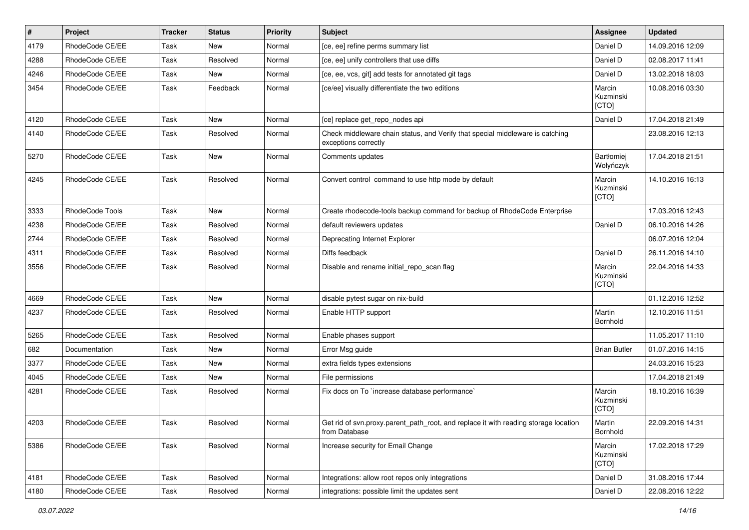| $\sharp$ | Project                | <b>Tracker</b> | <b>Status</b> | <b>Priority</b> | <b>Subject</b>                                                                                        | Assignee                     | <b>Updated</b>   |
|----------|------------------------|----------------|---------------|-----------------|-------------------------------------------------------------------------------------------------------|------------------------------|------------------|
| 4179     | RhodeCode CE/EE        | Task           | New           | Normal          | [ce, ee] refine perms summary list                                                                    | Daniel D                     | 14.09.2016 12:09 |
| 4288     | RhodeCode CE/EE        | Task           | Resolved      | Normal          | [ce, ee] unify controllers that use diffs                                                             | Daniel D                     | 02.08.2017 11:41 |
| 4246     | RhodeCode CE/EE        | Task           | New           | Normal          | [ce, ee, vcs, git] add tests for annotated git tags                                                   | Daniel D                     | 13.02.2018 18:03 |
| 3454     | RhodeCode CE/EE        | Task           | Feedback      | Normal          | [ce/ee] visually differentiate the two editions                                                       | Marcin<br>Kuzminski<br>[CTO] | 10.08.2016 03:30 |
| 4120     | RhodeCode CE/EE        | Task           | New           | Normal          | [ce] replace get_repo_nodes api                                                                       | Daniel D                     | 17.04.2018 21:49 |
| 4140     | RhodeCode CE/EE        | Task           | Resolved      | Normal          | Check middleware chain status, and Verify that special middleware is catching<br>exceptions correctly |                              | 23.08.2016 12:13 |
| 5270     | RhodeCode CE/EE        | Task           | <b>New</b>    | Normal          | Comments updates                                                                                      | Bartłomiej<br>Wołyńczyk      | 17.04.2018 21:51 |
| 4245     | RhodeCode CE/EE        | Task           | Resolved      | Normal          | Convert control command to use http mode by default                                                   | Marcin<br>Kuzminski<br>[CTO] | 14.10.2016 16:13 |
| 3333     | <b>RhodeCode Tools</b> | <b>Task</b>    | <b>New</b>    | Normal          | Create rhodecode-tools backup command for backup of RhodeCode Enterprise                              |                              | 17.03.2016 12:43 |
| 4238     | RhodeCode CE/EE        | Task           | Resolved      | Normal          | default reviewers updates                                                                             | Daniel D                     | 06.10.2016 14:26 |
| 2744     | RhodeCode CE/EE        | Task           | Resolved      | Normal          | Deprecating Internet Explorer                                                                         |                              | 06.07.2016 12:04 |
| 4311     | RhodeCode CE/EE        | Task           | Resolved      | Normal          | Diffs feedback                                                                                        | Daniel D                     | 26.11.2016 14:10 |
| 3556     | RhodeCode CE/EE        | Task           | Resolved      | Normal          | Disable and rename initial_repo_scan flag                                                             | Marcin<br>Kuzminski<br>[CTO] | 22.04.2016 14:33 |
| 4669     | RhodeCode CE/EE        | Task           | New           | Normal          | disable pytest sugar on nix-build                                                                     |                              | 01.12.2016 12:52 |
| 4237     | RhodeCode CE/EE        | Task           | Resolved      | Normal          | Enable HTTP support                                                                                   | Martin<br>Bornhold           | 12.10.2016 11:51 |
| 5265     | RhodeCode CE/EE        | Task           | Resolved      | Normal          | Enable phases support                                                                                 |                              | 11.05.2017 11:10 |
| 682      | Documentation          | Task           | New           | Normal          | Error Msg guide                                                                                       | <b>Brian Butler</b>          | 01.07.2016 14:15 |
| 3377     | RhodeCode CE/EE        | Task           | New           | Normal          | extra fields types extensions                                                                         |                              | 24.03.2016 15:23 |
| 4045     | RhodeCode CE/EE        | Task           | New           | Normal          | File permissions                                                                                      |                              | 17.04.2018 21:49 |
| 4281     | RhodeCode CE/EE        | Task           | Resolved      | Normal          | Fix docs on To `increase database performance`                                                        | Marcin<br>Kuzminski<br>[CTO] | 18.10.2016 16:39 |
| 4203     | RhodeCode CE/EE        | Task           | Resolved      | Normal          | Get rid of svn.proxy.parent_path_root, and replace it with reading storage location<br>from Database  | Martin<br>Bornhold           | 22.09.2016 14:31 |
| 5386     | RhodeCode CE/EE        | Task           | Resolved      | Normal          | Increase security for Email Change                                                                    | Marcin<br>Kuzminski<br>[CTO] | 17.02.2018 17:29 |
| 4181     | RhodeCode CE/EE        | Task           | Resolved      | Normal          | Integrations: allow root repos only integrations                                                      | Daniel D                     | 31.08.2016 17:44 |
| 4180     | RhodeCode CE/EE        | Task           | Resolved      | Normal          | integrations: possible limit the updates sent                                                         | Daniel D                     | 22.08.2016 12:22 |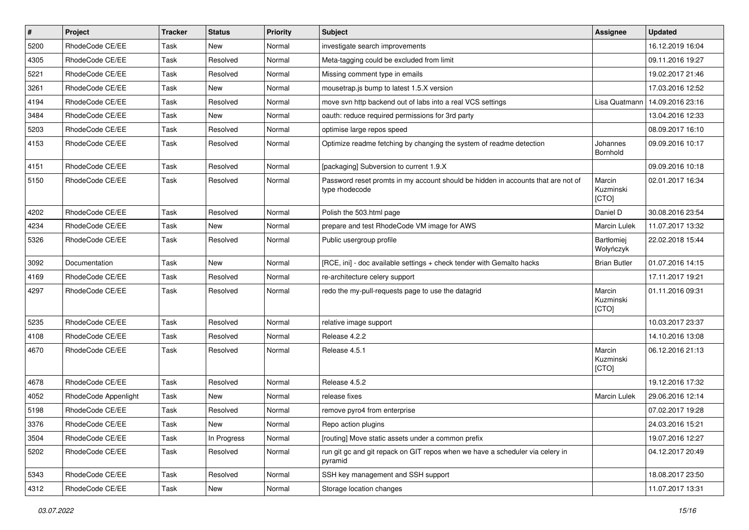| $\pmb{\#}$ | Project              | <b>Tracker</b> | <b>Status</b> | <b>Priority</b> | <b>Subject</b>                                                                                     | <b>Assignee</b>              | <b>Updated</b>   |
|------------|----------------------|----------------|---------------|-----------------|----------------------------------------------------------------------------------------------------|------------------------------|------------------|
| 5200       | RhodeCode CE/EE      | Task           | <b>New</b>    | Normal          | investigate search improvements                                                                    |                              | 16.12.2019 16:04 |
| 4305       | RhodeCode CE/EE      | Task           | Resolved      | Normal          | Meta-tagging could be excluded from limit                                                          |                              | 09.11.2016 19:27 |
| 5221       | RhodeCode CE/EE      | Task           | Resolved      | Normal          | Missing comment type in emails                                                                     |                              | 19.02.2017 21:46 |
| 3261       | RhodeCode CE/EE      | Task           | New           | Normal          | mousetrap.js bump to latest 1.5.X version                                                          |                              | 17.03.2016 12:52 |
| 4194       | RhodeCode CE/EE      | Task           | Resolved      | Normal          | move svn http backend out of labs into a real VCS settings                                         | Lisa Quatmann                | 14.09.2016 23:16 |
| 3484       | RhodeCode CE/EE      | Task           | New           | Normal          | oauth: reduce required permissions for 3rd party                                                   |                              | 13.04.2016 12:33 |
| 5203       | RhodeCode CE/EE      | Task           | Resolved      | Normal          | optimise large repos speed                                                                         |                              | 08.09.2017 16:10 |
| 4153       | RhodeCode CE/EE      | Task           | Resolved      | Normal          | Optimize readme fetching by changing the system of readme detection                                | Johannes<br>Bornhold         | 09.09.2016 10:17 |
| 4151       | RhodeCode CE/EE      | Task           | Resolved      | Normal          | [packaging] Subversion to current 1.9.X                                                            |                              | 09.09.2016 10:18 |
| 5150       | RhodeCode CE/EE      | Task           | Resolved      | Normal          | Password reset promts in my account should be hidden in accounts that are not of<br>type rhodecode | Marcin<br>Kuzminski<br>[CTO] | 02.01.2017 16:34 |
| 4202       | RhodeCode CE/EE      | Task           | Resolved      | Normal          | Polish the 503.html page                                                                           | Daniel D                     | 30.08.2016 23:54 |
| 4234       | RhodeCode CE/EE      | Task           | New           | Normal          | prepare and test RhodeCode VM image for AWS                                                        | <b>Marcin Lulek</b>          | 11.07.2017 13:32 |
| 5326       | RhodeCode CE/EE      | Task           | Resolved      | Normal          | Public usergroup profile                                                                           | Bartłomiej<br>Wołyńczyk      | 22.02.2018 15:44 |
| 3092       | Documentation        | Task           | <b>New</b>    | Normal          | [RCE, ini] - doc available settings + check tender with Gemalto hacks                              | <b>Brian Butler</b>          | 01.07.2016 14:15 |
| 4169       | RhodeCode CE/EE      | Task           | Resolved      | Normal          | re-architecture celery support                                                                     |                              | 17.11.2017 19:21 |
| 4297       | RhodeCode CE/EE      | Task           | Resolved      | Normal          | redo the my-pull-requests page to use the datagrid                                                 | Marcin<br>Kuzminski<br>[CTO] | 01.11.2016 09:31 |
| 5235       | RhodeCode CE/EE      | Task           | Resolved      | Normal          | relative image support                                                                             |                              | 10.03.2017 23:37 |
| 4108       | RhodeCode CE/EE      | Task           | Resolved      | Normal          | Release 4.2.2                                                                                      |                              | 14.10.2016 13:08 |
| 4670       | RhodeCode CE/EE      | Task           | Resolved      | Normal          | Release 4.5.1                                                                                      | Marcin<br>Kuzminski<br>[CTO] | 06.12.2016 21:13 |
| 4678       | RhodeCode CE/EE      | Task           | Resolved      | Normal          | Release 4.5.2                                                                                      |                              | 19.12.2016 17:32 |
| 4052       | RhodeCode Appenlight | Task           | <b>New</b>    | Normal          | release fixes                                                                                      | <b>Marcin Lulek</b>          | 29.06.2016 12:14 |
| 5198       | RhodeCode CE/EE      | Task           | Resolved      | Normal          | remove pyro4 from enterprise                                                                       |                              | 07.02.2017 19:28 |
| 3376       | RhodeCode CE/EE      | Task           | New           | Normal          | Repo action plugins                                                                                |                              | 24.03.2016 15:21 |
| 3504       | RhodeCode CE/EE      | Task           | In Progress   | Normal          | [routing] Move static assets under a common prefix                                                 |                              | 19.07.2016 12:27 |
| 5202       | RhodeCode CE/EE      | Task           | Resolved      | Normal          | run git gc and git repack on GIT repos when we have a scheduler via celery in<br>pyramid           |                              | 04.12.2017 20:49 |
| 5343       | RhodeCode CE/EE      | Task           | Resolved      | Normal          | SSH key management and SSH support                                                                 |                              | 18.08.2017 23:50 |
| 4312       | RhodeCode CE/EE      | Task           | New           | Normal          | Storage location changes                                                                           |                              | 11.07.2017 13:31 |